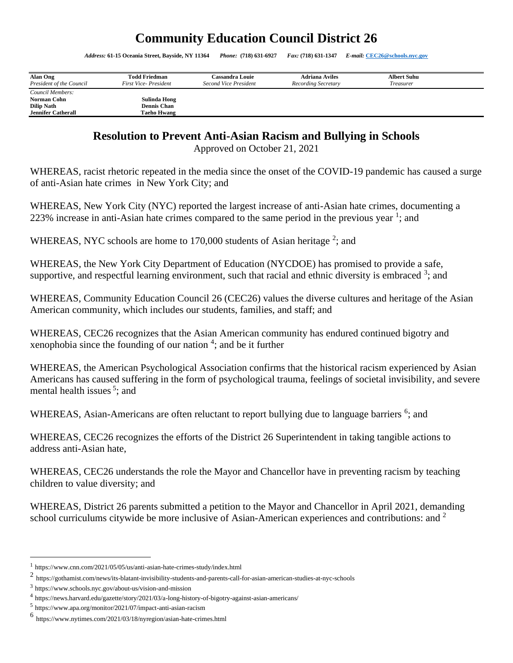## **Community Education Council District 26**

*Address:* **61-15 Oceania Street, Bayside, NY 11364** *Phone:* **(718) 631-6927** *Fax:* **(718) 631-1347** *E-mail:* **[CEC26@schools.nyc.gov](mailto:CEC26@schools.nyc.gov)**

| Alan Ong<br>President of the Council | <b>Todd Friedman</b><br>First Vice-President | Cassandra Louie<br>Second Vice President | <b>Adriana Aviles</b><br>Recording Secretary | <b>Albert Suhu</b><br>Treasurer |  |
|--------------------------------------|----------------------------------------------|------------------------------------------|----------------------------------------------|---------------------------------|--|
| Council Members:                     |                                              |                                          |                                              |                                 |  |
| Norman Cohn                          | Sulinda Hong                                 |                                          |                                              |                                 |  |
| <b>Dilip Nath</b>                    | <b>Dennis Chan</b>                           |                                          |                                              |                                 |  |
| <b>Jennifer Catherall</b>            | Taeho Hwang                                  |                                          |                                              |                                 |  |

## **Resolution to Prevent Anti-Asian Racism and Bullying in Schools**

Approved on October 21, 2021

WHEREAS, racist rhetoric repeated in the media since the onset of the COVID-19 pandemic has caused a surge of anti-Asian hate crimes in New York City; and

WHEREAS, New York City (NYC) reported the largest increase of anti-Asian hate crimes, documenting a 223% increase in anti-Asian hate crimes compared to the same period in the previous year  $\frac{1}{1}$ ; and

WHEREAS, NYC schools are home to  $170,000$  students of Asian heritage<sup>2</sup>; and

WHEREAS, the New York City Department of Education (NYCDOE) has promised to provide a safe, supportive, and respectful learning environment, such that racial and ethnic diversity is embraced  $3$ ; and

WHEREAS, Community Education Council 26 (CEC26) values the diverse cultures and heritage of the Asian American community, which includes our students, families, and staff; and

WHEREAS, CEC26 recognizes that the Asian American community has endured continued bigotry and xenophobia since the founding of our nation  $4$ ; and be it further

WHEREAS, the American Psychological Association confirms that the historical racism experienced by Asian Americans has caused suffering in the form of psychological trauma, feelings of societal invisibility, and severe mental health issues<sup>5</sup>; and

WHEREAS, Asian-Americans are often reluctant to report bullying due to language barriers <sup>6</sup>; and

WHEREAS, CEC26 recognizes the efforts of the District 26 Superintendent in taking tangible actions to address anti-Asian hate,

WHEREAS, CEC26 understands the role the Mayor and Chancellor have in preventing racism by teaching children to value diversity; and

WHEREAS, District 26 parents submitted a petition to the Mayor and Chancellor in April 2021, demanding school curriculums citywide be more inclusive of Asian-American experiences and contributions: and <sup>2</sup>

<sup>1</sup> <https://www.cnn.com/2021/05/05/us/anti-asian-hate-crimes-study/index.html>

<sup>2</sup> <https://gothamist.com/news/its-blatant-invisibility-students-and-parents-call-for-asian-american-studies-at-nyc-schools>

<sup>3</sup> <https://www.schools.nyc.gov/about-us/vision-and-mission>

<sup>4</sup> <https://news.harvard.edu/gazette/story/2021/03/a-long-history-of-bigotry-against-asian-americans/>

<sup>5</sup> <https://www.apa.org/monitor/2021/07/impact-anti-asian-racism>

<sup>6</sup> <https://www.nytimes.com/2021/03/18/nyregion/asian-hate-crimes.html>